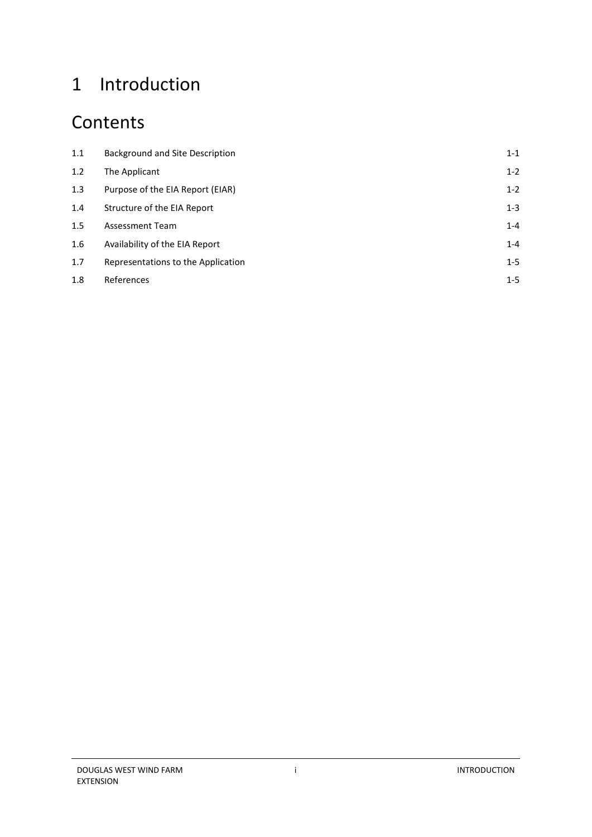# 1 Introduction

# **Contents**

| 1.1 | Background and Site Description    | $1 - 1$ |
|-----|------------------------------------|---------|
| 1.2 | The Applicant                      | $1 - 2$ |
| 1.3 | Purpose of the EIA Report (EIAR)   | $1 - 2$ |
| 1.4 | Structure of the EIA Report        | $1 - 3$ |
| 1.5 | <b>Assessment Team</b>             | $1 - 4$ |
| 1.6 | Availability of the EIA Report     | $1 - 4$ |
| 1.7 | Representations to the Application | $1 - 5$ |
| 1.8 | References                         | $1 - 5$ |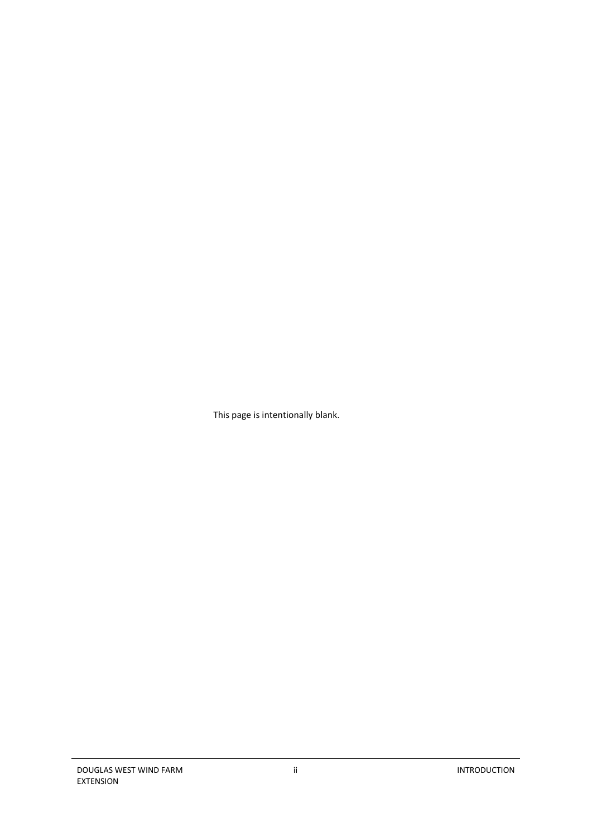This page is intentionally blank.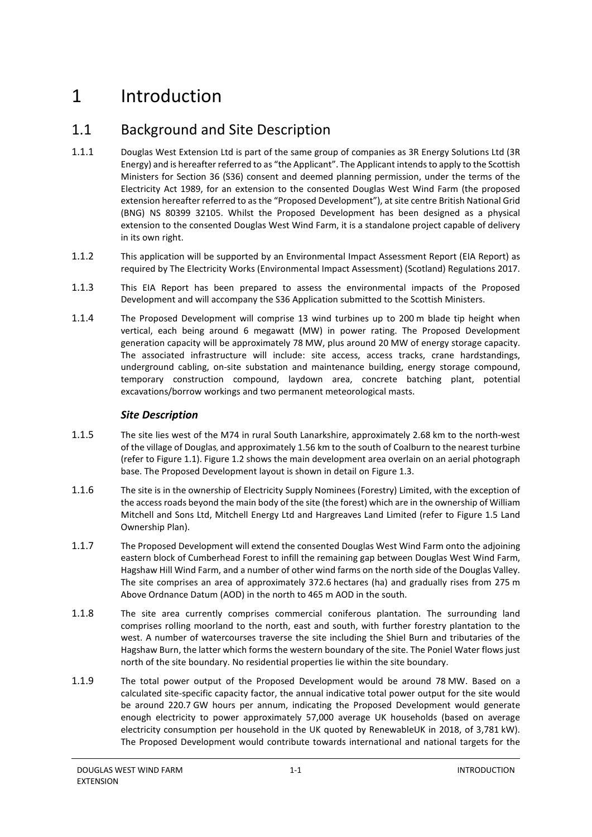# 1 Introduction

## <span id="page-2-0"></span>1.1 Background and Site Description

- 1.1.1 Douglas West Extension Ltd is part of the same group of companies as 3R Energy Solutions Ltd (3R Energy) and is hereafter referred to as "the Applicant". The Applicant intends to apply to the Scottish Ministers for Section 36 (S36) consent and deemed planning permission, under the terms of the Electricity Act 1989, for an extension to the consented Douglas West Wind Farm (the proposed extension hereafter referred to as the "Proposed Development"), at site centre British National Grid (BNG) NS 80399 32105. Whilst the Proposed Development has been designed as a physical extension to the consented Douglas West Wind Farm, it is a standalone project capable of delivery in its own right.
- 1.1.2 This application will be supported by an Environmental Impact Assessment Report (EIA Report) as required by The Electricity Works (Environmental Impact Assessment) (Scotland) Regulations 2017.
- 1.1.3 This EIA Report has been prepared to assess the environmental impacts of the Proposed Development and will accompany the S36 Application submitted to the Scottish Ministers.
- 1.1.4 The Proposed Development will comprise 13 wind turbines up to 200 m blade tip height when vertical, each being around 6 megawatt (MW) in power rating. The Proposed Development generation capacity will be approximately 78 MW, plus around 20 MW of energy storage capacity. The associated infrastructure will include: site access, access tracks, crane hardstandings, underground cabling, on-site substation and maintenance building, energy storage compound, temporary construction compound, laydown area, concrete batching plant, potential excavations/borrow workings and two permanent meteorological masts.

#### *Site Description*

- 1.1.5 The site lies west of the M74 in rural South Lanarkshire, approximately 2.68 km to the north-west of the village of Douglas*,* and approximately 1.56 km to the south of Coalburn to the nearest turbine (refer to Figure 1.1). Figure 1.2 shows the main development area overlain on an aerial photograph base. The Proposed Development layout is shown in detail on Figure 1.3.
- 1.1.6 The site is in the ownership of Electricity Supply Nominees (Forestry) Limited, with the exception of the access roads beyond the main body of the site (the forest) which are in the ownership of William Mitchell and Sons Ltd, Mitchell Energy Ltd and Hargreaves Land Limited (refer to Figure 1.5 Land Ownership Plan).
- 1.1.7 The Proposed Development will extend the consented Douglas West Wind Farm onto the adjoining eastern block of Cumberhead Forest to infill the remaining gap between Douglas West Wind Farm, Hagshaw Hill Wind Farm, and a number of other wind farms on the north side of the Douglas Valley. The site comprises an area of approximately 372.6 hectares (ha) and gradually rises from 275 m Above Ordnance Datum (AOD) in the north to 465 m AOD in the south.
- 1.1.8 The site area currently comprises commercial coniferous plantation. The surrounding land comprises rolling moorland to the north, east and south, with further forestry plantation to the west. A number of watercourses traverse the site including the Shiel Burn and tributaries of the Hagshaw Burn, the latter which forms the western boundary of the site. The Poniel Water flows just north of the site boundary. No residential properties lie within the site boundary.
- 1.1.9 The total power output of the Proposed Development would be around 78 MW. Based on a calculated site-specific capacity factor, the annual indicative total power output for the site would be around 220.7 GW hours per annum, indicating the Proposed Development would generate enough electricity to power approximately 57,000 average UK households (based on average electricity consumption per household in the UK quoted by RenewableUK in 2018, of 3,781 kW). The Proposed Development would contribute towards international and national targets for the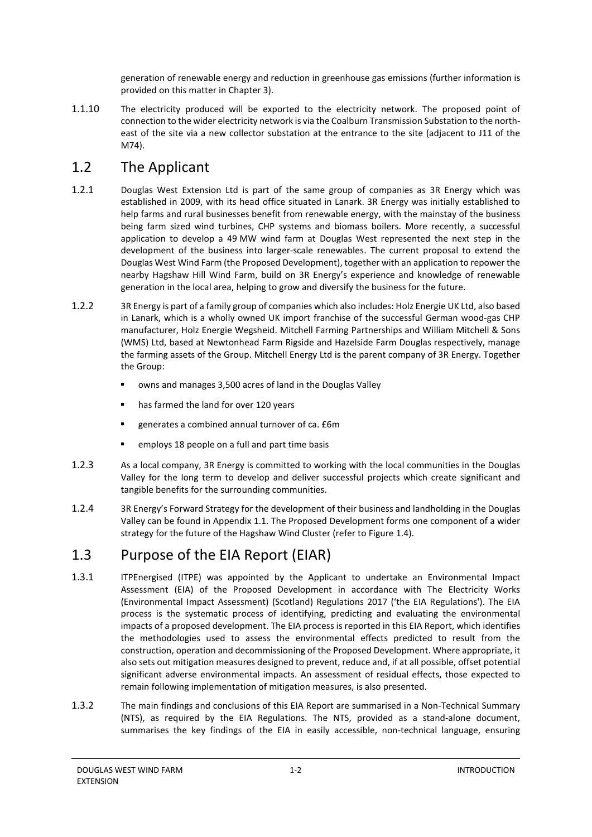generation of renewable energy and reduction in greenhouse gas emissions (further information is provided on this matter in Chapter 3).

1.1.10 The electricity produced will be exported to the electricity network. The proposed point of connection to the wider electricity network is via the Coalburn Transmission Substation to the northeast of the site via a new collector substation at the entrance to the site (adjacent to J11 of the M74).

### <span id="page-3-0"></span>1.2 The Applicant

- 1.2.1 Douglas West Extension Ltd is part of the same group of companies as 3R Energy which was established in 2009, with its head office situated in Lanark. 3R Energy was initially established to help farms and rural businesses benefit from renewable energy, with the mainstay of the business being farm sized wind turbines, CHP systems and biomass boilers. More recently, a successful application to develop a 49 MW wind farm at Douglas West represented the next step in the development of the business into larger-scale renewables. The current proposal to extend the Douglas West Wind Farm (the Proposed Development), together with an application to repower the nearby Hagshaw Hill Wind Farm, build on 3R Energy's experience and knowledge of renewable generation in the local area, helping to grow and diversify the business for the future.
- 1.2.2 3R Energy is part of a family group of companies which also includes: Holz Energie UK Ltd, also based in Lanark, which is a wholly owned UK import franchise of the successful German wood-gas CHP manufacturer, Holz Energie Wegsheid. Mitchell Farming Partnerships and William Mitchell & Sons (WMS) Ltd, based at Newtonhead Farm Rigside and Hazelside Farm Douglas respectively, manage the farming assets of the Group. Mitchell Energy Ltd is the parent company of 3R Energy. Together the Group:
	- owns and manages 3,500 acres of land in the Douglas Valley
	- **has farmed the land for over 120 years**
	- generates a combined annual turnover of ca. £6m
	- employs 18 people on a full and part time basis
- 1.2.3 As a local company, 3R Energy is committed to working with the local communities in the Douglas Valley for the long term to develop and deliver successful projects which create significant and tangible benefits for the surrounding communities.
- 1.2.4 3R Energy's Forward Strategy for the development of their business and landholding in the Douglas Valley can be found in Appendix 1.1. The Proposed Development forms one component of a wider strategy for the future of the Hagshaw Wind Cluster (refer to Figure 1.4).

### <span id="page-3-1"></span>1.3 Purpose of the EIA Report (EIAR)

- 1.3.1 ITPEnergised (ITPE) was appointed by the Applicant to undertake an Environmental Impact Assessment (EIA) of the Proposed Development in accordance with The Electricity Works (Environmental Impact Assessment) (Scotland) Regulations 2017 ('the EIA Regulations'). The EIA process is the systematic process of identifying, predicting and evaluating the environmental impacts of a proposed development. The EIA process is reported in this EIA Report, which identifies the methodologies used to assess the environmental effects predicted to result from the construction, operation and decommissioning of the Proposed Development. Where appropriate, it also sets out mitigation measures designed to prevent, reduce and, if at all possible, offset potential significant adverse environmental impacts. An assessment of residual effects, those expected to remain following implementation of mitigation measures, is also presented.
- 1.3.2 The main findings and conclusions of this EIA Report are summarised in a Non-Technical Summary (NTS), as required by the EIA Regulations. The NTS, provided as a stand-alone document, summarises the key findings of the EIA in easily accessible, non-technical language, ensuring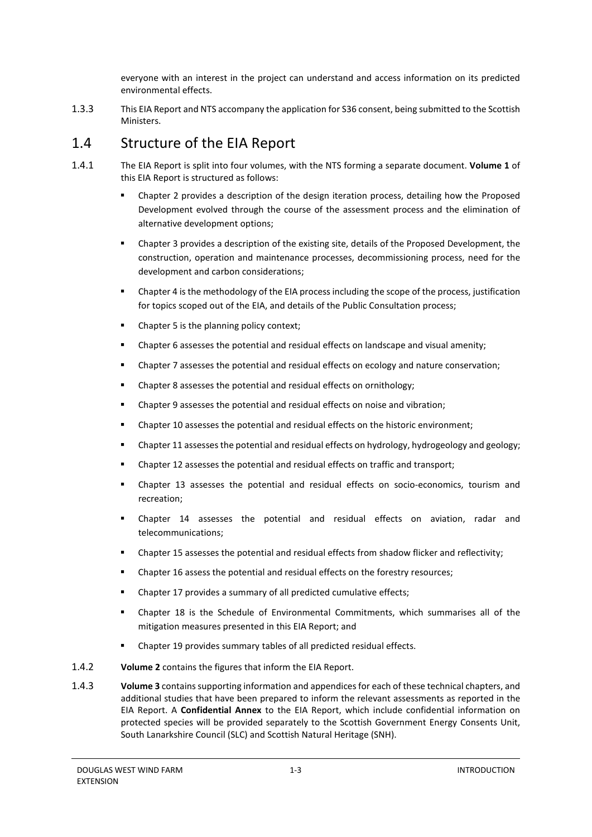everyone with an interest in the project can understand and access information on its predicted environmental effects.

1.3.3 This EIA Report and NTS accompany the application for S36 consent, being submitted to the Scottish Ministers.

#### <span id="page-4-0"></span>1.4 Structure of the EIA Report

- 1.4.1 The EIA Report is split into four volumes, with the NTS forming a separate document. **Volume 1** of this EIA Report is structured as follows:
	- Chapter 2 provides a description of the design iteration process, detailing how the Proposed Development evolved through the course of the assessment process and the elimination of alternative development options;
	- Chapter 3 provides a description of the existing site, details of the Proposed Development, the construction, operation and maintenance processes, decommissioning process, need for the development and carbon considerations;
	- Chapter 4 is the methodology of the EIA process including the scope of the process, justification for topics scoped out of the EIA, and details of the Public Consultation process;
	- Chapter 5 is the planning policy context;
	- Chapter 6 assesses the potential and residual effects on landscape and visual amenity;
	- Chapter 7 assesses the potential and residual effects on ecology and nature conservation;
	- Chapter 8 assesses the potential and residual effects on ornithology;
	- Chapter 9 assesses the potential and residual effects on noise and vibration;
	- Chapter 10 assesses the potential and residual effects on the historic environment;
	- Chapter 11 assesses the potential and residual effects on hydrology, hydrogeology and geology;
	- Chapter 12 assesses the potential and residual effects on traffic and transport;
	- Chapter 13 assesses the potential and residual effects on socio-economics, tourism and recreation;
	- Chapter 14 assesses the potential and residual effects on aviation, radar and telecommunications;
	- Chapter 15 assesses the potential and residual effects from shadow flicker and reflectivity;
	- Chapter 16 assess the potential and residual effects on the forestry resources;
	- Chapter 17 provides a summary of all predicted cumulative effects;
	- Chapter 18 is the Schedule of Environmental Commitments, which summarises all of the mitigation measures presented in this EIA Report; and
	- Chapter 19 provides summary tables of all predicted residual effects.
- 1.4.2 **Volume 2** contains the figures that inform the EIA Report.
- 1.4.3 **Volume 3** contains supporting information and appendices for each of these technical chapters, and additional studies that have been prepared to inform the relevant assessments as reported in the EIA Report. A **Confidential Annex** to the EIA Report, which include confidential information on protected species will be provided separately to the Scottish Government Energy Consents Unit, South Lanarkshire Council (SLC) and Scottish Natural Heritage (SNH).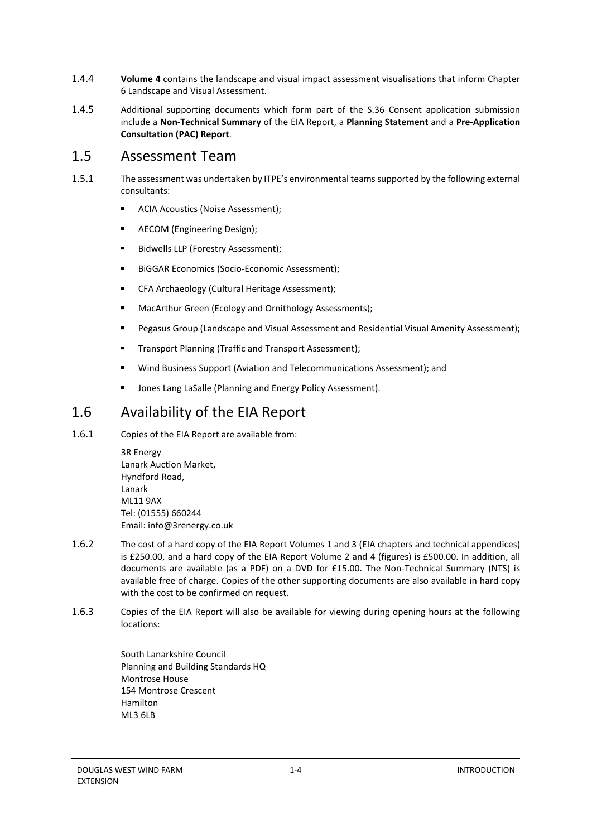- 1.4.4 **Volume 4** contains the landscape and visual impact assessment visualisations that inform Chapter 6 Landscape and Visual Assessment.
- 1.4.5 Additional supporting documents which form part of the S.36 Consent application submission include a **Non-Technical Summary** of the EIA Report, a **Planning Statement** and a **Pre-Application Consultation (PAC) Report**.

#### <span id="page-5-0"></span>1.5 Assessment Team

- 1.5.1 The assessment was undertaken by ITPE's environmental teams supported by the following external consultants:
	- **ACIA Acoustics (Noise Assessment);**
	- **AECOM** (Engineering Design);
	- Bidwells LLP (Forestry Assessment);
	- BiGGAR Economics (Socio-Economic Assessment);
	- **EXECTA** Archaeology (Cultural Heritage Assessment);
	- **MacArthur Green (Ecology and Ornithology Assessments);**
	- Pegasus Group (Landscape and Visual Assessment and Residential Visual Amenity Assessment);
	- **Transport Planning (Traffic and Transport Assessment);**
	- Wind Business Support (Aviation and Telecommunications Assessment); and
	- **Jones Lang LaSalle (Planning and Energy Policy Assessment).**

#### <span id="page-5-1"></span>1.6 Availability of the EIA Report

1.6.1 Copies of the EIA Report are available from:

3R Energy Lanark Auction Market, Hyndford Road, Lanark ML11 9AX Tel: (01555) 660244 Email: info@3renergy.co.uk

- 1.6.2 The cost of a hard copy of the EIA Report Volumes 1 and 3 (EIA chapters and technical appendices) is £250.00, and a hard copy of the EIA Report Volume 2 and 4 (figures) is £500.00. In addition, all documents are available (as a PDF) on a DVD for £15.00. The Non-Technical Summary (NTS) is available free of charge. Copies of the other supporting documents are also available in hard copy with the cost to be confirmed on request.
- 1.6.3 Copies of the EIA Report will also be available for viewing during opening hours at the following locations:

South Lanarkshire Council Planning and Building Standards HQ Montrose House 154 Montrose Crescent Hamilton ML3 6LB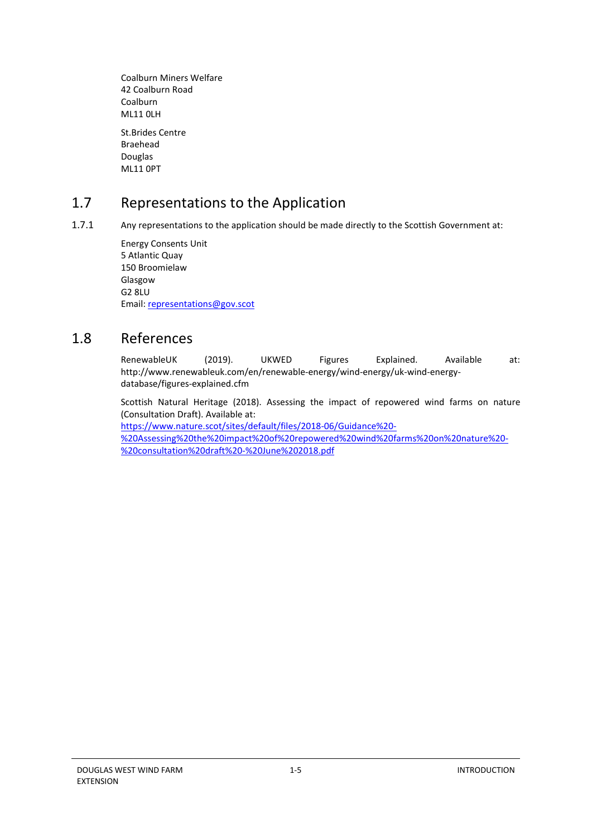Coalburn Miners Welfare 42 Coalburn Road Coalburn ML11 0LH St.Brides Centre Braehead Douglas

ML11 0PT

### <span id="page-6-0"></span>1.7 Representations to the Application

1.7.1 Any representations to the application should be made directly to the Scottish Government at:

Energy Consents Unit 5 Atlantic Quay 150 Broomielaw Glasgow G2 8LU Email: [representations@gov.scot](mailto:representations@gov.scot)

#### <span id="page-6-1"></span>1.8 References

RenewableUK (2019). UKWED Figures Explained. Available at: http://www.renewableuk.com/en/renewable-energy/wind-energy/uk-wind-energydatabase/figures-explained.cfm

Scottish Natural Heritage (2018). Assessing the impact of repowered wind farms on nature (Consultation Draft). Available at:

[https://www.nature.scot/sites/default/files/2018-06/Guidance%20-](https://www.nature.scot/sites/default/files/2018-06/Guidance%20-%20Assessing%20the%20impact%20of%20repowered%20wind%20farms%20on%20nature%20-%20consultation%20draft%20-%20June%202018.pdf)

[%20Assessing%20the%20impact%20of%20repowered%20wind%20farms%20on%20nature%20-](https://www.nature.scot/sites/default/files/2018-06/Guidance%20-%20Assessing%20the%20impact%20of%20repowered%20wind%20farms%20on%20nature%20-%20consultation%20draft%20-%20June%202018.pdf) [%20consultation%20draft%20-%20June%202018.pdf](https://www.nature.scot/sites/default/files/2018-06/Guidance%20-%20Assessing%20the%20impact%20of%20repowered%20wind%20farms%20on%20nature%20-%20consultation%20draft%20-%20June%202018.pdf)